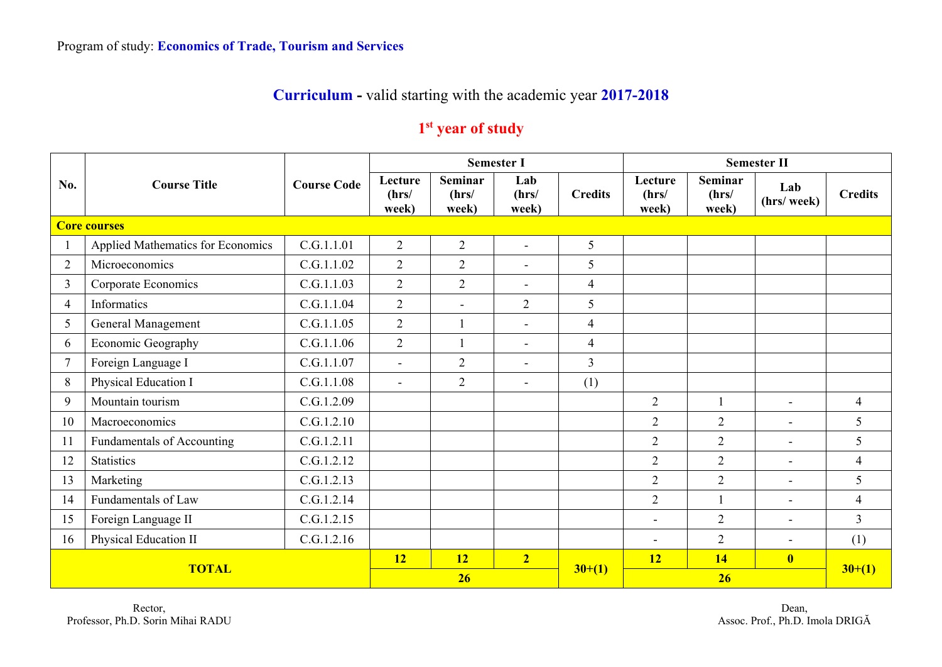## **Curriculum -** valid starting with the academic year **2017-2018**

## **1st year of study**

|                | <b>Course Title</b>               |                    |                           |                                  | <b>Semester I</b>        |                | <b>Semester II</b>        |                                  |                          |                |  |
|----------------|-----------------------------------|--------------------|---------------------------|----------------------------------|--------------------------|----------------|---------------------------|----------------------------------|--------------------------|----------------|--|
| No.            |                                   | <b>Course Code</b> | Lecture<br>(hrs/<br>week) | <b>Seminar</b><br>(hrs/<br>week) | Lab<br>(hrs/<br>week)    | <b>Credits</b> | Lecture<br>(hrs/<br>week) | <b>Seminar</b><br>(hrs/<br>week) | Lab<br>(hrs/week)        | <b>Credits</b> |  |
|                | <b>Core courses</b>               |                    |                           |                                  |                          |                |                           |                                  |                          |                |  |
|                | Applied Mathematics for Economics | C.G.1.1.01         | $\overline{2}$            | $\overline{2}$                   | $\sim$                   | 5              |                           |                                  |                          |                |  |
| $\overline{2}$ | Microeconomics                    | C.G.1.1.02         | $\overline{2}$            | $\overline{2}$                   | $\sim$                   | 5              |                           |                                  |                          |                |  |
| $\overline{3}$ | Corporate Economics               | C.G.1.1.03         | $\overline{2}$            | $\overline{2}$                   | $\overline{\phantom{a}}$ | $\overline{4}$ |                           |                                  |                          |                |  |
| 4              | Informatics                       | C.G.1.1.04         | $\overline{2}$            | $\blacksquare$                   | $\overline{2}$           | 5              |                           |                                  |                          |                |  |
| 5              | General Management                | C.G.1.1.05         | $\overline{2}$            |                                  | $\equiv$                 | $\overline{4}$ |                           |                                  |                          |                |  |
| 6              | Economic Geography                | C.G.1.1.06         | $\overline{2}$            | $\overline{1}$                   | $\blacksquare$           | $\overline{4}$ |                           |                                  |                          |                |  |
| $\tau$         | Foreign Language I                | C.G.1.1.07         | $\overline{a}$            | $\overline{2}$                   | $\blacksquare$           | $\overline{3}$ |                           |                                  |                          |                |  |
| 8              | Physical Education I              | C.G.1.1.08         | $\blacksquare$            | $\overline{2}$                   | $\equiv$                 | (1)            |                           |                                  |                          |                |  |
| 9              | Mountain tourism                  | C.G.1.2.09         |                           |                                  |                          |                | $\overline{2}$            |                                  | $\blacksquare$           | $\overline{4}$ |  |
| 10             | Macroeconomics                    | C.G.1.2.10         |                           |                                  |                          |                | $\overline{2}$            | $\overline{2}$                   | $\blacksquare$           | 5 <sup>5</sup> |  |
| 11             | Fundamentals of Accounting        | C.G.1.2.11         |                           |                                  |                          |                | $\overline{2}$            | $\overline{2}$                   | $\blacksquare$           | 5              |  |
| 12             | <b>Statistics</b>                 | C.G.1.2.12         |                           |                                  |                          |                | $\overline{2}$            | $\overline{2}$                   | $\overline{\phantom{0}}$ | $\overline{4}$ |  |
| 13             | Marketing                         | C.G.1.2.13         |                           |                                  |                          |                | $\overline{2}$            | $\overline{2}$                   | $\blacksquare$           | 5              |  |
| 14             | Fundamentals of Law               | C.G.1.2.14         |                           |                                  |                          |                | $\mathbf{2}$              |                                  | $\blacksquare$           | $\overline{4}$ |  |
| 15             | Foreign Language II               | C.G.1.2.15         |                           |                                  |                          |                |                           | $\overline{2}$                   | $\blacksquare$           | $\overline{3}$ |  |
| 16             | Physical Education II             | C.G.1.2.16         |                           |                                  |                          |                | $\overline{\phantom{a}}$  | $\overline{2}$                   | $\blacksquare$           | (1)            |  |
| <b>TOTAL</b>   |                                   |                    | <b>12</b>                 | 12                               | $\overline{2}$           |                | 12                        | 14                               | $\overline{\mathbf{0}}$  |                |  |
|                |                                   |                    | 26                        |                                  |                          | $30+(1)$       |                           | $30+(1)$                         |                          |                |  |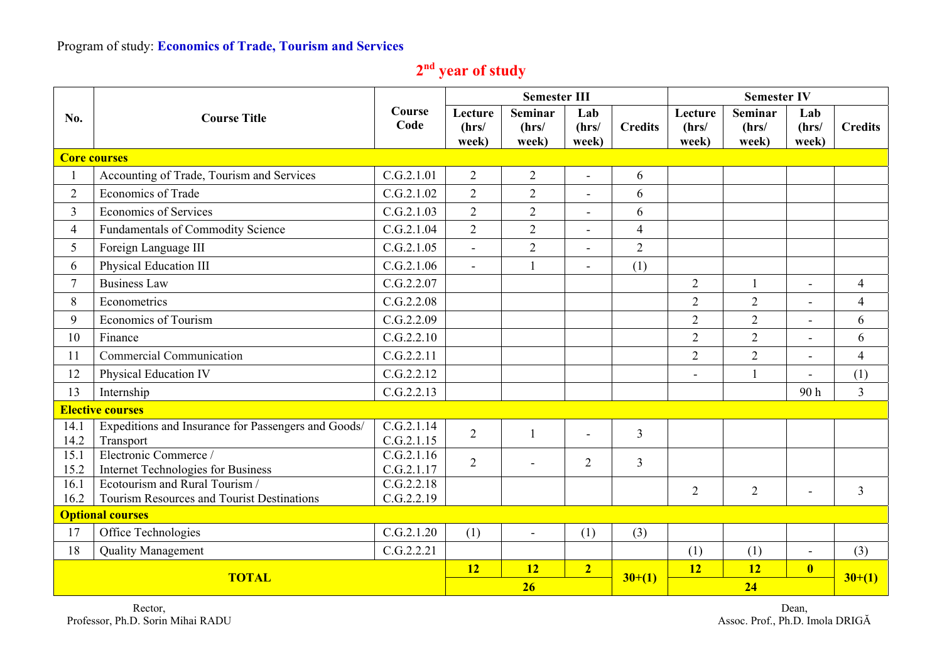## Program of study: **Economics of Trade, Tourism and Services**

| 2 <sup>nd</sup> year of study |  |  |
|-------------------------------|--|--|
|                               |  |  |

|                  |                                                                  |                          |                           | <b>Semester III</b>              |                          |                | <b>Semester IV</b>        |                                  |                          |                |  |
|------------------|------------------------------------------------------------------|--------------------------|---------------------------|----------------------------------|--------------------------|----------------|---------------------------|----------------------------------|--------------------------|----------------|--|
| No.              | <b>Course Title</b>                                              | Course<br>Code           | Lecture<br>(hrs/<br>week) | <b>Seminar</b><br>(hrs/<br>week) | Lab<br>(hrs/<br>week)    | <b>Credits</b> | Lecture<br>(hrs/<br>week) | <b>Seminar</b><br>(hrs/<br>week) | Lab<br>(hrs/<br>week)    | <b>Credits</b> |  |
|                  | <b>Core courses</b>                                              |                          |                           |                                  |                          |                |                           |                                  |                          |                |  |
|                  | Accounting of Trade, Tourism and Services                        | C.G.2.1.01               | $\overline{2}$            | $\overline{2}$                   | ÷,                       | 6              |                           |                                  |                          |                |  |
| $\overline{2}$   | <b>Economics of Trade</b>                                        | C.G.2.1.02               | $\overline{2}$            | $\overline{2}$                   |                          | 6              |                           |                                  |                          |                |  |
| $\overline{3}$   | <b>Economics of Services</b>                                     | C.G.2.1.03               | $\overline{2}$            | $\overline{2}$                   | $\overline{\phantom{0}}$ | 6              |                           |                                  |                          |                |  |
| $\overline{4}$   | Fundamentals of Commodity Science                                | C.G.2.1.04               | $\overline{2}$            | $\overline{2}$                   | $\blacksquare$           | $\overline{4}$ |                           |                                  |                          |                |  |
| 5                | Foreign Language III                                             | C.G.2.1.05               |                           | $\overline{2}$                   |                          | $\overline{2}$ |                           |                                  |                          |                |  |
| 6                | Physical Education III                                           | C.G.2.1.06               | $\blacksquare$            |                                  | $\blacksquare$           | (1)            |                           |                                  |                          |                |  |
| $\tau$           | <b>Business Law</b>                                              | C.G.2.2.07               |                           |                                  |                          |                | $\overline{2}$            |                                  | $\overline{a}$           | $\overline{4}$ |  |
| 8                | Econometrics                                                     | C.G.2.2.08               |                           |                                  |                          |                | $\overline{2}$            | 2                                |                          | $\overline{4}$ |  |
| 9                | <b>Economics of Tourism</b>                                      | C.G.2.2.09               |                           |                                  |                          |                | $\overline{2}$            | $\overline{2}$                   | $\overline{\phantom{0}}$ | 6              |  |
| 10               | Finance                                                          | C.G.2.2.10               |                           |                                  |                          |                | $\overline{2}$            | $\overline{2}$                   |                          | 6              |  |
| 11               | Commercial Communication                                         | C.G.2.2.11               |                           |                                  |                          |                | $\overline{2}$            | $\overline{2}$                   |                          | $\overline{4}$ |  |
| 12               | Physical Education IV                                            | C.G.2.2.12               |                           |                                  |                          |                | L,                        | $\mathbf{1}$                     | $\overline{\phantom{0}}$ | (1)            |  |
| 13<br>Internship |                                                                  | C.G.2.2.13               |                           |                                  |                          |                |                           |                                  | 90h                      | $\overline{3}$ |  |
|                  | <b>Elective courses</b>                                          |                          |                           |                                  |                          |                |                           |                                  |                          |                |  |
| 14.1<br>14.2     | Expeditions and Insurance for Passengers and Goods/<br>Transport | C.G.2.1.14<br>C.G.2.1.15 | $\overline{2}$            |                                  | $\overline{a}$           | $\overline{3}$ |                           |                                  |                          |                |  |
| 15.1<br>15.2     | Electronic Commerce /<br>Internet Technologies for Business      | C.G.2.1.16<br>C.G.2.1.17 | $\overline{2}$            |                                  | $\overline{2}$           | $\overline{3}$ |                           |                                  |                          |                |  |
| 16.1             | Ecotourism and Rural Tourism /                                   | C.G.2.2.18               |                           |                                  |                          |                | $\overline{2}$            | $\overline{2}$                   | $\blacksquare$           | $\mathfrak{Z}$ |  |
| 16.2             | Tourism Resources and Tourist Destinations                       | C.G.2.2.19               |                           |                                  |                          |                |                           |                                  |                          |                |  |
|                  | <b>Optional courses</b>                                          |                          |                           |                                  |                          |                |                           |                                  |                          |                |  |
| 17               | Office Technologies                                              | C.G.2.1.20               | (1)                       | $\blacksquare$                   | (1)                      | (3)            |                           |                                  |                          |                |  |
| 18               | <b>Quality Management</b>                                        | C.G.2.2.21               |                           |                                  |                          |                | (1)                       | (1)                              | $\blacksquare$           | (3)            |  |
| <b>TOTAL</b>     |                                                                  |                          | 12                        | <b>12</b>                        | $\overline{2}$           | $30+(1)$       | <b>12</b>                 | 12                               | $\overline{\mathbf{0}}$  | $30+(1)$       |  |
|                  |                                                                  |                          |                           | 26                               |                          |                | 24                        |                                  |                          |                |  |